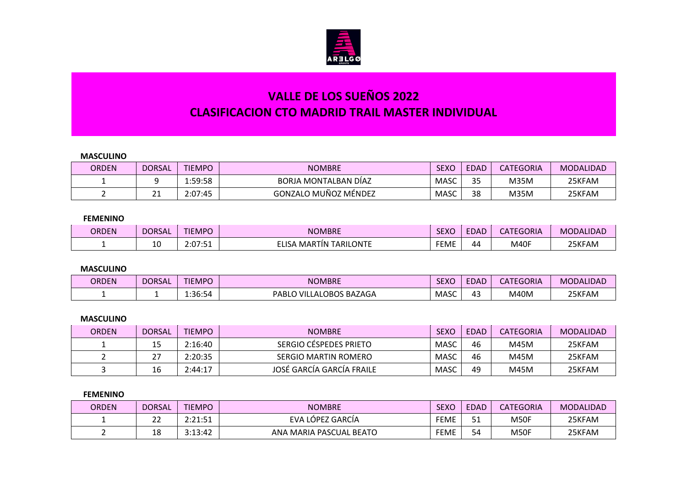

# **VALLE DE LOS SUEÑOS 2022 CLASIFICACION CTO MADRID TRAIL MASTER INDIVIDUAL**

## **MASCULINO**

| <b>ORDEN</b> | <b>DORSAL</b> | <b>TIEMPO</b> | <b>NOMBRE</b>        | <b>SEXC</b> | <b>EDAD</b>         | <b>CATEGORIA</b> | MODALIDAD |
|--------------|---------------|---------------|----------------------|-------------|---------------------|------------------|-----------|
|              |               | 1:59:58       | BORJA MONTALBAN DÍAZ | <b>MASC</b> | $\sim$ $\sim$<br>35 | <b>M35M</b>      | 25KFAM    |
|              | <u>_ _</u>    | 2:07:45       | GONZALO MUÑOZ MÉNDEZ | <b>MASC</b> | 38                  | M35M             | 25KFAM    |

## **FEMENINO**

| <b>ORDEN</b> | <b>DORSAI</b> | <b>TIEMPO</b>                            | <b>NOMBRE</b>                           | CEVC<br>SEXU | $-$<br>$\Box$ DAL | CATEGORIA | <b>MODALIDAD</b> |
|--------------|---------------|------------------------------------------|-----------------------------------------|--------------|-------------------|-----------|------------------|
|              | --            | $\sim$<br>- ה. <i>ח</i><br>ـ _ _<br>-.v/ | TARILONTE<br>∆LIS£<br>. MARTIN $\bar{}$ | <b>FEME</b>  | 44                | M40F      | 25KFAM           |

#### **MASCULINO**

| <b>ORDEN</b> | <b>DORSAL</b> | <b>TIEMPO</b> | <b>NOMBRE</b>               | <b>SEXO</b> | <b>EDAD</b> | <b>CATEGORIA</b> | <b>MODALIDAD</b> |
|--------------|---------------|---------------|-----------------------------|-------------|-------------|------------------|------------------|
|              |               | 36:54∴∡       | ) VILLALOBOS BAZAGA<br>PABL | <b>MASC</b> | ∼           | M40M             | 25KFAM           |

#### **MASCULINO**

| <b>ORDEN</b> | <b>DORSAL</b>            | <b>TIEMPO</b> | <b>NOMBRE</b>             | <b>SEXC</b> | <b>EDAD</b> | <b>CATEGORIA</b> | MODALIDAD |
|--------------|--------------------------|---------------|---------------------------|-------------|-------------|------------------|-----------|
|              |                          | 2:16:40       | SERGIO CÉSPEDES PRIETO    | MASC        | 46          | M45M             | 25KFAM    |
|              | $\mathbin{\lnot}$<br>، ے | 2:20:35       | SERGIO MARTIN ROMERO      | <b>MASC</b> | 46          | M45M             | 25KFAM    |
|              | 16                       | 2:44:17       | JOSÉ GARCÍA GARCÍA FRAILE | <b>MASC</b> | 49          | M45M             | 25KFAM    |

## **FEMENINO**

| <b>ORDEN</b> | <b>DORSAL</b> | <b>TIEMPO</b>       | <b>NOMBRE</b>           | <b>SEXO</b> | <b>EDAD</b>          | <b>CATEGORIA</b> | <b>MODALIDAD</b> |
|--------------|---------------|---------------------|-------------------------|-------------|----------------------|------------------|------------------|
|              | $\sim$<br>▵   | つ・つ 1・51<br>2.21.JI | ، LÓPEZ GARCÍA<br>EVA   | <b>FEME</b> | E <sub>4</sub><br>דכ | M50F             | 25KFAM           |
|              | 18            | 3:13:42             | ANA MARIA PASCUAL BEATO | <b>FEME</b> | 54                   | M50F             | 25KFAM           |